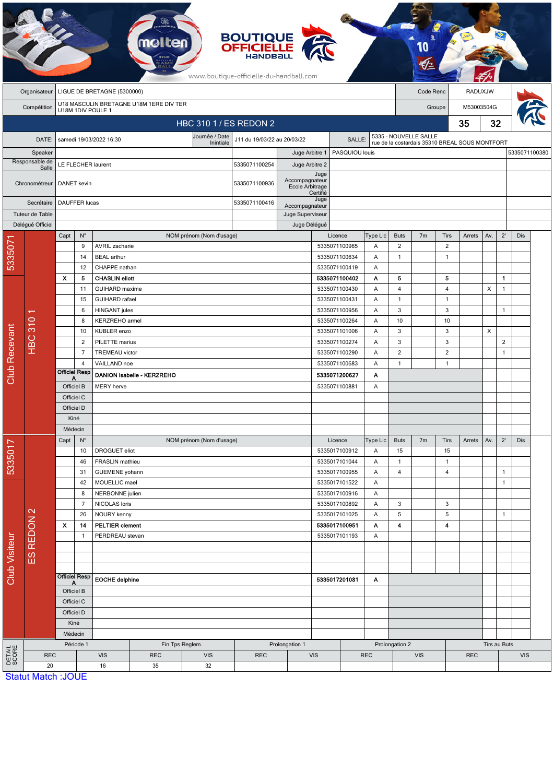|                           | <b>BOUTIQUE<br/>OFFICIELLE</b><br>www.boutique-officielle-du-handball.com   |                           |                                                                           |                                        |            |                          |                                    |                                   |                                |                                |                                |                                                |                                |                   |            |              |                |               |  |
|---------------------------|-----------------------------------------------------------------------------|---------------------------|---------------------------------------------------------------------------|----------------------------------------|------------|--------------------------|------------------------------------|-----------------------------------|--------------------------------|--------------------------------|--------------------------------|------------------------------------------------|--------------------------------|-------------------|------------|--------------|----------------|---------------|--|
|                           | LIGUE DE BRETAGNE (5300000)<br>Organisateur                                 |                           |                                                                           |                                        |            |                          |                                    |                                   |                                |                                | Code Renc                      |                                                |                                | RADUXJW           |            |              |                |               |  |
|                           | U18 MASCULIN BRETAGNE U18M 1ERE DIV TER<br>Compétition<br>U18M 1DIV POULE 1 |                           |                                                                           |                                        |            |                          |                                    |                                   |                                |                                |                                | Groupe                                         |                                |                   | M53003504G |              |                |               |  |
|                           |                                                                             |                           |                                                                           |                                        |            | HBC 310 1 / ES REDON 2   |                                    |                                   |                                |                                |                                |                                                |                                | 35                | 32         |              |                |               |  |
|                           |                                                                             |                           |                                                                           |                                        |            | Journée / Date           | J11 du 19/03/22 au 20/03/22        |                                   |                                |                                |                                |                                                | 5335 - NOUVELLE SALLE          |                   |            |              |                |               |  |
|                           | DATE:                                                                       |                           |                                                                           | samedi 19/03/2022 16:30                |            | Inintiale                |                                    |                                   |                                | SALLE:                         |                                | rue de la costardais 35310 BREAL SOUS MONTFORT |                                |                   |            |              |                |               |  |
| Speaker<br>Responsable de |                                                                             | LE FLECHER laurent        |                                                                           |                                        |            |                          | 5335071100254                      | Juge Arbitre 1<br>Juge Arbitre 2  |                                | PASQUIOU louis                 |                                |                                                |                                |                   |            |              |                | 5335071100380 |  |
|                           | Salle<br>Chronométreur                                                      | <b>DANET</b> kevin        |                                                                           |                                        |            |                          | 5335071100936                      | Accompagnateur<br>Ecole Arbitrage | Juge                           |                                |                                |                                                |                                |                   |            |              |                |               |  |
| Secrétaire                |                                                                             | DAUFFER lucas             |                                                                           |                                        |            |                          | 5335071100416                      |                                   | Certifié<br>Juge               |                                |                                |                                                |                                |                   |            |              |                |               |  |
| Tuteur de Table           |                                                                             |                           |                                                                           |                                        |            |                          | Accompagnateur<br>Juge Superviseur |                                   |                                |                                |                                |                                                |                                |                   |            |              |                |               |  |
|                           | Délégué Officiel                                                            |                           |                                                                           |                                        |            |                          |                                    | Juge Délégué                      |                                |                                |                                |                                                |                                |                   |            |              |                |               |  |
|                           |                                                                             | Capt                      | $N^{\circ}$                                                               |                                        |            | NOM prénom (Nom d'usage) |                                    |                                   |                                | Licence                        | Type Lic                       | <b>Buts</b>                                    | 7 <sub>m</sub>                 | Tirs              | Arrets     | Av.          | $2^{\prime}$   | Dis           |  |
| 533507                    |                                                                             |                           | 9                                                                         | AVRIL zacharie                         |            |                          |                                    |                                   |                                | 5335071100965                  | Α                              | 2                                              |                                | $\overline{2}$    |            |              |                |               |  |
|                           |                                                                             |                           | 14                                                                        | <b>BEAL</b> arthur                     |            |                          |                                    |                                   |                                | 5335071100634                  | Α                              | $\mathbf{1}$                                   |                                | $\mathbf{1}$      |            |              |                |               |  |
|                           |                                                                             | X                         | 12<br>5                                                                   | CHAPPE nathan<br><b>CHASLIN eliott</b> |            |                          |                                    |                                   |                                | 5335071100419<br>5335071100402 | Α<br>A                         | 5                                              |                                | 5                 |            |              | $\mathbf{1}$   |               |  |
|                           |                                                                             |                           | 11                                                                        | <b>GUIHARD</b> maxime                  |            |                          |                                    |                                   |                                | 5335071100430                  | Α                              | $\overline{4}$                                 |                                | 4                 |            | X            | $\mathbf{1}$   |               |  |
|                           |                                                                             |                           | 15                                                                        | <b>GUIHARD</b> rafael                  |            |                          |                                    |                                   |                                | 5335071100431                  | Α                              | $\mathbf{1}$                                   |                                | $\overline{1}$    |            |              |                |               |  |
|                           | <b>HBC 310</b>                                                              |                           | 6                                                                         | <b>HINGANT</b> jules<br>KERZREHO armel |            |                          |                                    |                                   |                                | 5335071100956                  | Α                              | 3                                              |                                | 3                 |            |              | $\mathbf{1}$   |               |  |
|                           |                                                                             |                           | 8                                                                         |                                        |            |                          |                                    |                                   |                                | 5335071100264                  | Α                              | 10                                             |                                | 10                |            |              |                |               |  |
|                           |                                                                             |                           | 10                                                                        | KUBLER enzo                            |            |                          |                                    |                                   |                                | 5335071101006                  | 3                              |                                                | 3                              |                   | X          |              |                |               |  |
| <b>Club Recevant</b>      |                                                                             |                           | $\overline{2}$                                                            | PILETTE marius                         |            |                          |                                    |                                   |                                | 5335071100274                  | Α                              | 3                                              |                                | 3                 |            |              | $\overline{2}$ |               |  |
|                           |                                                                             |                           | $\overline{7}$<br><b>TREMEAU</b> victor<br>$\overline{4}$<br>VAILLAND noe |                                        |            |                          |                                    |                                   |                                | 5335071100290<br>5335071100683 | Α<br>Α                         | $\overline{2}$<br>$\mathbf{1}$                 |                                | 2<br>$\mathbf{1}$ |            |              | $\mathbf{1}$   |               |  |
|                           |                                                                             |                           | <b>Officiel Resp</b>                                                      | DANION isabelle - KERZREHO             |            |                          |                                    |                                   | 5335071200627                  | Α                              |                                |                                                |                                |                   |            |              |                |               |  |
|                           |                                                                             | А<br>Officiel B           |                                                                           | <b>MERY</b> herve                      |            |                          |                                    |                                   | 5335071100881                  | Α                              |                                |                                                |                                |                   |            |              |                |               |  |
|                           |                                                                             | Officiel C                |                                                                           |                                        |            |                          |                                    |                                   |                                |                                |                                |                                                |                                |                   |            |              |                |               |  |
|                           |                                                                             | Officiel D                |                                                                           |                                        |            |                          |                                    |                                   |                                |                                |                                |                                                |                                |                   |            |              |                |               |  |
|                           |                                                                             | Kiné                      |                                                                           |                                        |            |                          |                                    |                                   |                                |                                |                                |                                                |                                |                   |            |              |                |               |  |
|                           |                                                                             | Médecin                   |                                                                           |                                        |            |                          |                                    |                                   |                                |                                |                                |                                                |                                |                   |            |              |                |               |  |
|                           |                                                                             | Capt                      | $N^{\circ}$                                                               |                                        |            | NOM prénom (Nom d'usage) |                                    |                                   |                                | Licence                        | Type Lic                       | <b>Buts</b>                                    | 7 <sub>m</sub>                 | Tirs              | Arrets     | Av.          | $2^{\prime}$   | Dis           |  |
|                           |                                                                             |                           | 10                                                                        | DROGUET eliot                          |            |                          |                                    |                                   |                                | 5335017100912                  | Α                              | 15                                             |                                | 15                |            |              |                |               |  |
| 5335017                   |                                                                             | 46<br>31                  |                                                                           | FRASLIN mathieu<br>GUEMENE yohann      |            |                          |                                    |                                   | 5335017101044<br>5335017100955 | Α<br>Α                         | $\mathbf{1}$<br>$\overline{4}$ |                                                | $\mathbf{1}$<br>$\overline{4}$ |                   |            | $\mathbf{1}$ |                |               |  |
| <b>Club Visiteur</b>      |                                                                             |                           | 42                                                                        | MOUELLIC mael                          |            |                          |                                    |                                   |                                | 5335017101522                  | Α                              |                                                |                                |                   |            |              | $\mathbf{1}$   |               |  |
|                           | ES REDON 2                                                                  |                           | 8                                                                         | NERBONNE julien                        |            |                          |                                    |                                   |                                | 5335017100916                  | Α                              |                                                |                                |                   |            |              |                |               |  |
|                           |                                                                             |                           | $\overline{7}$                                                            | NICOLAS loris                          |            |                          |                                    |                                   |                                | 5335017100892                  | Α                              | 3                                              |                                | 3                 |            |              |                |               |  |
|                           |                                                                             |                           | 26                                                                        | NOURY kenny                            |            |                          |                                    |                                   |                                | 5335017101025                  | Α                              | 5                                              |                                | $\,$ 5            |            |              | $\mathbf{1}$   |               |  |
|                           |                                                                             | $\boldsymbol{\mathsf{x}}$ | 14<br><b>PELTIER clement</b>                                              |                                        |            | 5335017100951            |                                    | A                                 | $\blacktriangleleft$           |                                | 4                              |                                                |                                |                   |            |              |                |               |  |
|                           |                                                                             |                           | $\mathbf{1}$                                                              | PERDREAU stevan                        |            |                          |                                    |                                   |                                | 5335017101193                  | Α                              |                                                |                                |                   |            |              |                |               |  |
|                           |                                                                             |                           |                                                                           |                                        |            |                          |                                    |                                   |                                |                                |                                |                                                |                                |                   |            |              |                |               |  |
|                           |                                                                             | <b>Officiel Resp</b>      |                                                                           |                                        |            |                          |                                    |                                   |                                |                                |                                |                                                |                                |                   |            |              |                |               |  |
|                           |                                                                             |                           |                                                                           | <b>EOCHE delphine</b>                  |            |                          |                                    | 5335017201081                     | A                              |                                |                                |                                                |                                |                   |            |              |                |               |  |
|                           |                                                                             | Officiel B<br>Officiel C  |                                                                           |                                        |            |                          |                                    |                                   |                                |                                |                                |                                                |                                |                   |            |              |                |               |  |
|                           |                                                                             | Officiel D                |                                                                           |                                        |            |                          |                                    |                                   |                                |                                |                                |                                                |                                |                   |            |              |                |               |  |
|                           |                                                                             | Kiné                      |                                                                           |                                        |            |                          |                                    |                                   |                                |                                |                                |                                                |                                |                   |            |              |                |               |  |
|                           |                                                                             |                           | Médecin                                                                   |                                        |            |                          |                                    |                                   |                                |                                |                                |                                                |                                |                   |            |              |                |               |  |
|                           |                                                                             |                           | Période 1                                                                 |                                        |            | Fin Tps Reglem.          |                                    | Prolongation 1                    |                                |                                |                                | Prolongation 2                                 |                                |                   |            | Tirs au Buts |                |               |  |
| <b>DETAIL</b><br>SCORE    | <b>REC</b>                                                                  |                           |                                                                           | <b>VIS</b>                             | <b>REC</b> | <b>VIS</b>               | <b>REC</b>                         |                                   | <b>VIS</b>                     |                                | <b>REC</b>                     | <b>VIS</b>                                     |                                |                   | <b>REC</b> |              | <b>VIS</b>     |               |  |
|                           | 20<br><b>Statut Match: JOUE</b>                                             |                           |                                                                           | 16                                     | 35         | 32                       |                                    |                                   |                                |                                |                                |                                                |                                |                   |            |              |                |               |  |